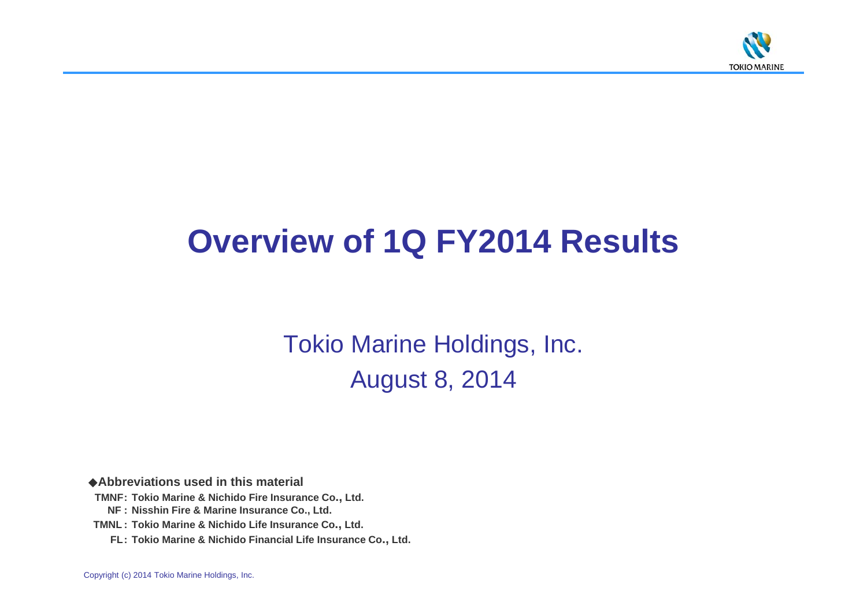

# **Overview of 1Q FY2014 Results**

Tokio Marine Holdings, Inc. August 8, 2014

◆**Abbreviations used in this material**

- **TMNF: Tokio Marine & Nichido Fire Insurance Co., Ltd.**
	- **NF : Nisshin Fire & Marine Insurance Co., Ltd.**
- **TMNL : Tokio Marine & Nichido Life Insurance Co., Ltd.**
	- **FL: Tokio Marine & Nichido Financial Life Insurance Co., Ltd.**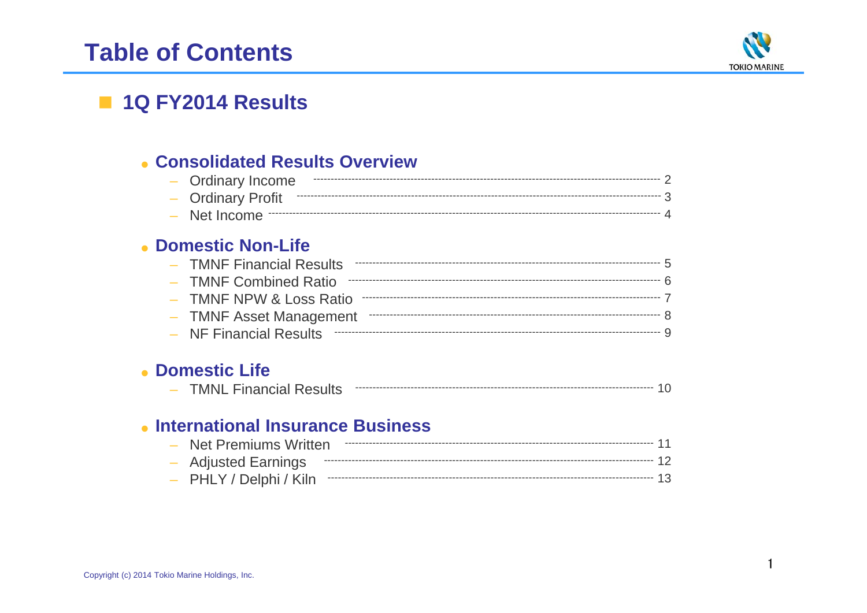# **Table of Contents**



## 1Q FY2014 Results

### • Consolidated Results Overview

| - Ordinary Income         |  |
|---------------------------|--|
| - Ordinary Profit ------- |  |
|                           |  |

### • Domestic Non-Life

| - TMNF Financial Results |  |
|--------------------------|--|
| - TMNF Combined Ratio    |  |
|                          |  |
| - TMNF Asset Management  |  |
|                          |  |

### • Domestic Life

|  | <i><b>AR</b></i><br>'N<br>IV.<br>*N∟ | $\mathsf{I}$<br>паныаг | $11+$ $\sim$<br><b>NGOUIL</b> |  |  |  |
|--|--------------------------------------|------------------------|-------------------------------|--|--|--|
|--|--------------------------------------|------------------------|-------------------------------|--|--|--|

### • International Insurance Business

| - PHLY / Delphi / Kiln ---------- |  |
|-----------------------------------|--|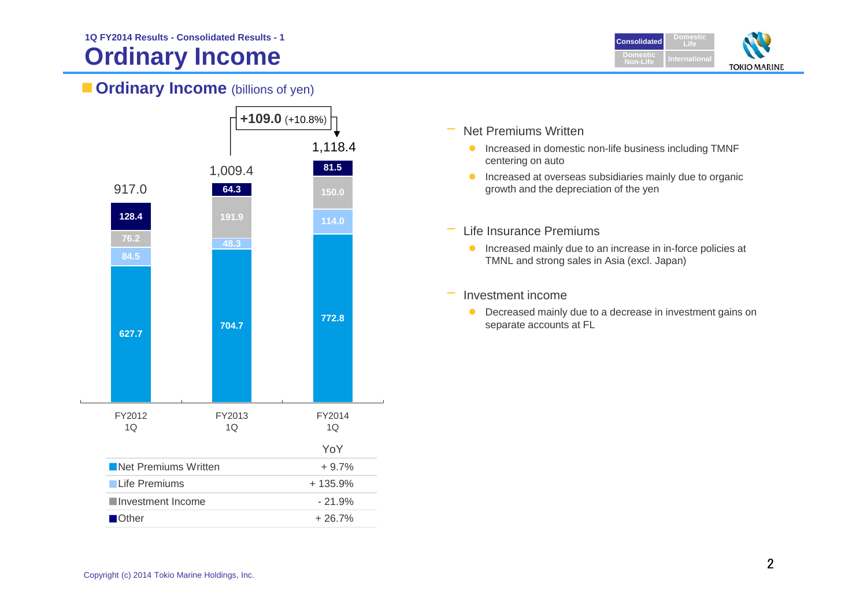# **Ordinary Income**



### **Ordinary Income** (billions of yen)



- Net Premiums Written
	- **Increased in domestic non-life business including TMNF** centering on auto
	- **Increased at overseas subsidiaries mainly due to organic** growth and the depreciation of the yen
- – Life Insurance Premiums
	- **Increased mainly due to an increase in in-force policies at** TMNL and strong sales in Asia (excl. Japan)
- Investment income
	- **O** Decreased mainly due to a decrease in investment gains on separate accounts at FL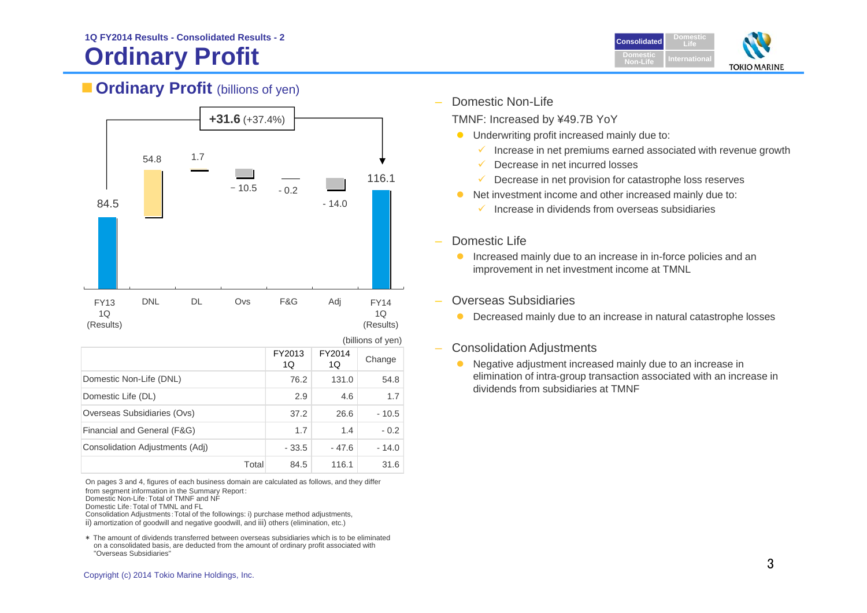# **Ordinary Profit**



### **Cordinary Profit** (billions of yen)



On pages 3 and 4, figures of each business domain are calculated as follows, and they differ from segment information in the Summary Report:

Total

Domestic Non-Life:Total of TMNF and NF

Domestic Life:Total of TMNL and FL

 Consolidation Adjustments:Total of the followings: i) purchase method adjustments, ii) amortization of goodwill and negative goodwill, and iii) others (elimination, etc.)

\* The amount of dividends transferred between overseas subsidiaries which is to be eliminated on a consolidated basis, are deducted from the amount of ordinary profit associated with "Overseas Subsidiaries"

Domestic Non-Life

TMNF: Increased by ¥49.7B YoY

- $\bullet$  Underwriting profit increased mainly due to:
	- $\checkmark$ Increase in net premiums earned associated with revenue growth
	- $\checkmark$ Decrease in net incurred losses
	- $\checkmark$ Decrease in net provision for catastrophe loss reserves
	- Net investment income and other increased mainly due to:
		- $\checkmark$  Increase in dividends from overseas subsidiaries

#### Domestic Life

 $\bullet$ 

- $\bullet$  Increased mainly due to an increase in in-force policies and an improvement in net investment income at TMNL
- Overseas Subsidiaries
	- **O** Decreased mainly due to an increase in natural catastrophe losses

#### –Consolidation Adjustments

• Negative adjustment increased mainly due to an increase in elimination of intra-group transaction associated with an increase in dividends from subsidiaries at TMNF

31.6

84.5 116.1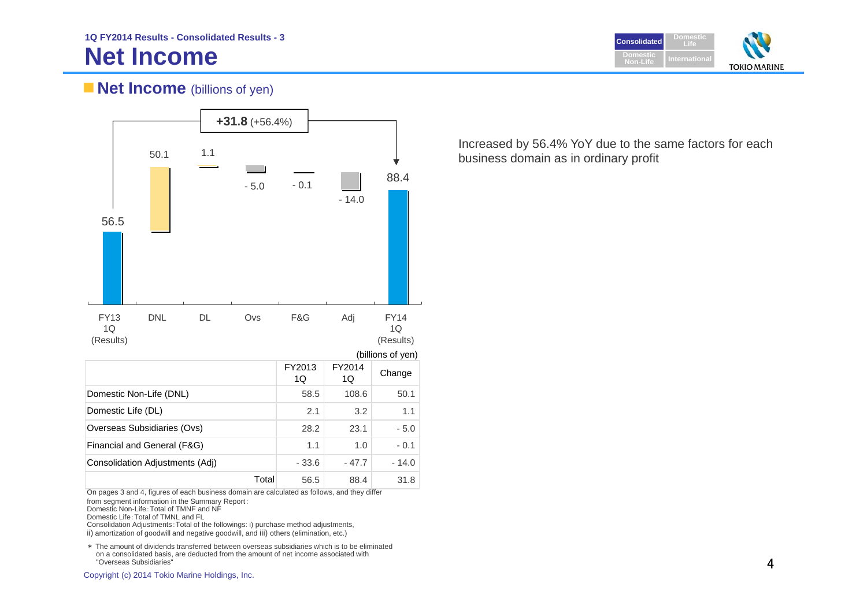

### **Net Income** (billions of yen)



On pages 3 and 4, figures of each business domain are calculated as follows, and they differ

from segment information in the Summary Report:

Domestic Non-Life:Total of TMNF and NF

Domestic Life:Total of TMNL and FL

Consolidation Adjustments:Total of the followings: i) purchase method adjustments,

ii) amortization of goodwill and negative goodwill, and iii) others (elimination, etc.)

\* The amount of dividends transferred between overseas subsidiaries which is to be eliminated on a consolidated basis, are deducted from the amount of net income associated with "Overseas Subsidiaries"

Increased by 56.4% YoY due to the same factors for each business domain as in ordinary profit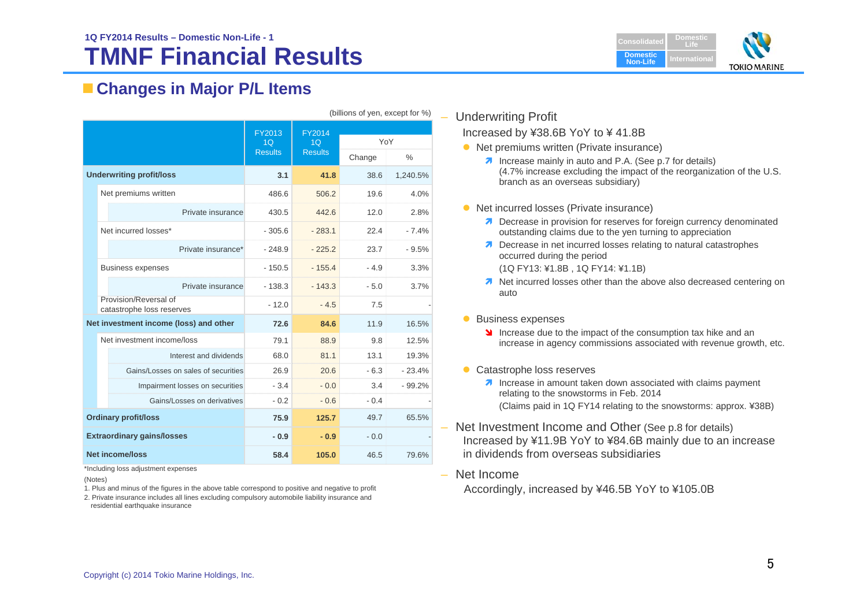### **TMNF Financial Results1Q FY2014 Results – Domestic Non-Life - 1**



### **Changes in Major P/L Items**

|                                 | (billions of yen, except for %)                    |                                            |                                                   |               |               |
|---------------------------------|----------------------------------------------------|--------------------------------------------|---------------------------------------------------|---------------|---------------|
|                                 |                                                    | FY2013<br>1 <sub>O</sub><br><b>Results</b> | <b>FY2014</b><br>1 <sub>O</sub><br><b>Results</b> | YoY<br>Change | $\frac{0}{0}$ |
| <b>Underwriting profit/loss</b> |                                                    | 3.1                                        | 41.8                                              | 38.6          | 1,240.5%      |
|                                 | Net premiums written                               | 486.6                                      | 506.2                                             | 19.6          | 4.0%          |
|                                 | Private insurance                                  | 430.5                                      | 442.6                                             | 12.0          | 2.8%          |
|                                 | Net incurred losses*                               | $-305.6$                                   | $-283.1$                                          | 22.4          | $-7.4%$       |
|                                 | Private insurance*                                 | $-248.9$                                   | $-225.2$                                          | 23.7          | $-9.5%$       |
|                                 | <b>Business expenses</b>                           | $-150.5$                                   | $-155.4$                                          | $-4.9$        | 3.3%          |
|                                 | Private insurance                                  | $-138.3$                                   | $-143.3$                                          | $-5.0$        | 3.7%          |
|                                 | Provision/Reversal of<br>catastrophe loss reserves | $-12.0$                                    | $-4.5$                                            | 7.5           |               |
|                                 | Net investment income (loss) and other             | 72.6                                       | 84.6                                              | 11.9          | 16.5%         |
|                                 | Net investment income/loss                         | 79.1                                       | 88.9                                              | 9.8           | 12.5%         |
|                                 | Interest and dividends                             | 68.0                                       | 81.1                                              | 13.1          | 19.3%         |
|                                 | Gains/Losses on sales of securities                | 26.9                                       | 20.6                                              | $-6.3$        | $-23.4%$      |
|                                 | Impairment losses on securities                    | $-3.4$                                     | $-0.0$                                            | 3.4           | $-99.2%$      |
|                                 | Gains/Losses on derivatives                        | $-0.2$                                     | $-0.6$                                            | $-0.4$        |               |
| <b>Ordinary profit/loss</b>     |                                                    | 75.9                                       | 125.7                                             | 49.7          | 65.5%         |
|                                 | <b>Extraordinary gains/losses</b>                  | $-0.9$                                     | $-0.9$                                            | $-0.0$        |               |
| <b>Net income/loss</b>          |                                                    | 58.4                                       | 105.0                                             | 46.5          | 79.6%         |

\*Including loss adjustment expenses

(Notes)

- 1. Plus and minus of the figures in the above table correspond to positive and negative to profit
- 2. Private insurance includes all lines excluding compulsory automobile liability insurance and residential earthquake insurance

#### – Underwriting Profit

Increased by ¥38.6B YoY to ¥ 41.8B

- Net premiums written (Private insurance)
	- **7** Increase mainly in auto and P.A. (See p.7 for details) (4.7% increase excluding the impact of the reorganization of the U.S. branch as an overseas subsidiary)
- Net incurred losses (Private insurance)
	- **7** Decrease in provision for reserves for foreign currency denominated outstanding claims due to the yen turning to appreciation
	- **7** Decrease in net incurred losses relating to natural catastrophes occurred during the period (1Q FY13: ¥1.8B , 1Q FY14: ¥1.1B)
	- **1** Net incurred losses other than the above also decreased centering on auto
- **Business expenses** 
	- Increase due to the impact of the consumption tax hike and an increase in agency commissions associated with revenue growth, etc.
- Catastrophe loss reserves
	- **7** Increase in amount taken down associated with claims payment relating to the snowstorms in Feb. 2014 (Claims paid in 1Q FY14 relating to the snowstorms: approx. ¥38B)
- Net Investment Income and Other (See p.8 for details) Increased by ¥11.9B YoY to ¥84.6B mainly due to an increase in dividends from overseas subsidiaries
- Net Income

Accordingly, increased by ¥46.5B YoY to ¥105.0B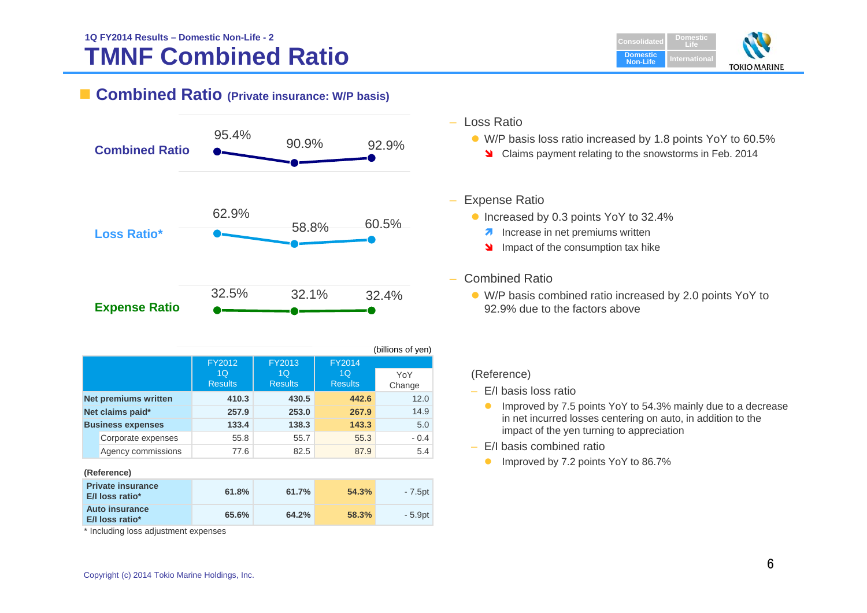

### ■ **Combined Ratio** (Private insurance: W/P basis)



|                  |                             |                |                |                | (billions of yen) |
|------------------|-----------------------------|----------------|----------------|----------------|-------------------|
|                  |                             | FY2012         | FY2013         |                |                   |
|                  |                             | 1 <sub>O</sub> | 1 <sub>O</sub> | 1 <sub>O</sub> | YoY               |
|                  |                             | <b>Results</b> | <b>Results</b> | <b>Results</b> | Change            |
|                  | <b>Net premiums written</b> | 410.3          | 430.5          | 442.6          | 12.0              |
| Net claims paid* |                             | 257.9          | 253.0          | 267.9          | 14.9              |
|                  | <b>Business expenses</b>    | 133.4          | 138.3          | 143.3          | 5.0               |
|                  | Corporate expenses          | 55.8           | 55.7           | 55.3           | $-0.4$            |
|                  | Agency commissions          | 77.6           | 82.5           | 87.9           | 5.4               |

#### **(Reference)**

| <b>Private insurance</b><br><b>E/I</b> loss ratio* | 61.8% | 61.7% | 54.3% | - 7.5pt |
|----------------------------------------------------|-------|-------|-------|---------|
| <b>Auto insurance</b><br><b>E/I loss ratio*</b>    | 65.6% | 64.2% | 58.3% | - 5.9pt |

\* Including loss adjustment expenses

#### – Loss Ratio

- W/P basis loss ratio increased by 1.8 points YoY to 60.5%
	- Claims payment relating to the snowstorms in Feb. 2014

#### – Expense Ratio

- **Increased by 0.3 points YoY to 32.4%** 
	- **A** Increase in net premiums written
	- Impact of the consumption tax hike

#### – Combined Ratio

 W/P basis combined ratio increased by 2.0 points YoY to 92.9% due to the factors above

#### (Reference)

- E/I basis loss ratio
	- **Improved by 7.5 points YoY to 54.3% mainly due to a decrease** in net incurred losses centering on auto, in addition to the impact of the yen turning to appreciation
- E/I basis combined ratio
	- **Improved by 7.2 points YoY to 86.7%**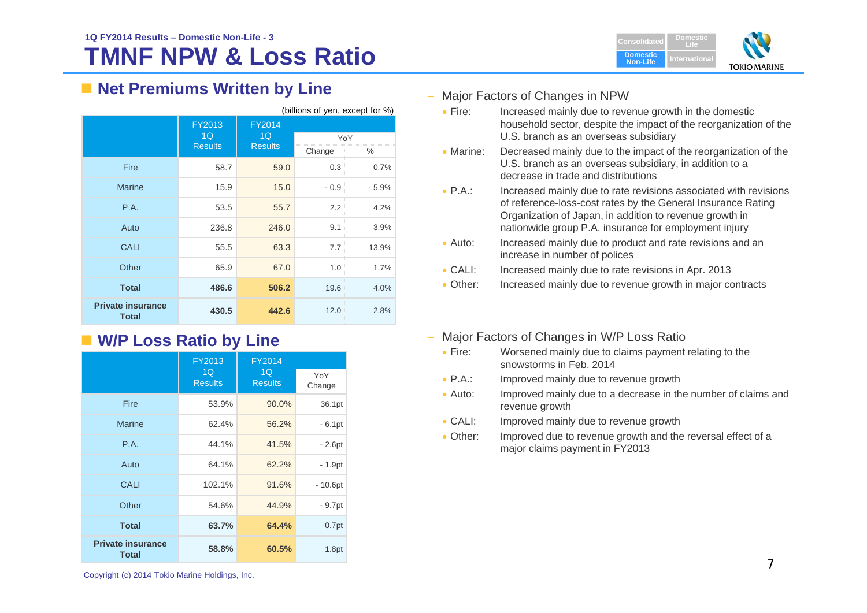

### ■ Net Premiums Written by Line

| (billions of yen, except for %)          |                |                |        |         |
|------------------------------------------|----------------|----------------|--------|---------|
|                                          | FY2013<br>1Q   | FY2014<br>1Q   |        |         |
|                                          | <b>Results</b> | <b>Results</b> | YoY    |         |
|                                          |                |                | Change | $\%$    |
| Fire                                     | 58.7           | 59.0           | 0.3    | 0.7%    |
| <b>Marine</b>                            | 15.9           | 15.0           | $-0.9$ | $-5.9%$ |
| P.A.                                     | 53.5           | 55.7           | 2.2    | 4.2%    |
| Auto                                     | 236.8          | 246.0          | 9.1    | 3.9%    |
| <b>CALI</b>                              | 55.5           | 63.3           | 7.7    | 13.9%   |
| Other                                    | 65.9           | 67.0           | 1.0    | 1.7%    |
| <b>Total</b>                             | 486.6          | 506.2          | 19.6   | 4.0%    |
| <b>Private insurance</b><br><b>Total</b> | 430.5          | 442.6          | 12.0   | 2.8%    |

## **W/P Loss Ratio by Line**

|                                          | FY2013               | FY2014               |               |
|------------------------------------------|----------------------|----------------------|---------------|
|                                          | 1Q<br><b>Results</b> | 1Q<br><b>Results</b> | YoY<br>Change |
| <b>Fire</b>                              | 53.9%                | 90.0%                | 36.1pt        |
| Marine                                   | 62.4%                | 56.2%                | $-6.1pt$      |
| P.A.                                     | 44.1%                | 41.5%                | $-2.6pt$      |
| Auto                                     | 64.1%                | 62.2%                | $-1.9pt$      |
| CALI                                     | 102.1%               | 91.6%                | $-10.6pt$     |
| Other                                    | 54.6%                | 44.9%                | $-9.7pt$      |
| <b>Total</b>                             | 63.7%                | 64.4%                | 0.7pt         |
| <b>Private insurance</b><br><b>Total</b> | 58.8%                | 60.5%                | 1.8pt         |

#### Major Factors of Changes in NPW

- $\bullet$  Fire: Increased mainly due to revenue growth in the domestic household sector, despite the impact of the reorganization of the U.S. branch as an overseas subsidiary
- Marine: Decreased mainly due to the impact of the reorganization of the U.S. branch as an overseas subsidiary, in addition to a decrease in trade and distributions
- $\bullet$  P.A.: Increased mainly due to rate revisions associated with revisions of reference-loss-cost rates by the General Insurance Rating Organization of Japan, in addition to revenue growth in nationwide group P.A. insurance for employment injury
- $\bullet$  Auto: Increased mainly due to product and rate revisions and an increase in number of polices
- $\bullet$  CALE Increased mainly due to rate revisions in Apr. 2013
- Other: Increased mainly due to revenue growth in major contracts
- Major Factors of Changes in W/P Loss Ratio
	- $\bullet$  Fire: Worsened mainly due to claims payment relating to the snowstorms in Feb. 2014
	- $\bullet$  P.A.: Improved mainly due to revenue growth
	- $\bullet$  Auto: Improved mainly due to a decrease in the number of claims and revenue growth
	- $\bullet$  CALI: Improved mainly due to revenue growth
	- Other: Improved due to revenue growth and the reversal effect of a major claims payment in FY2013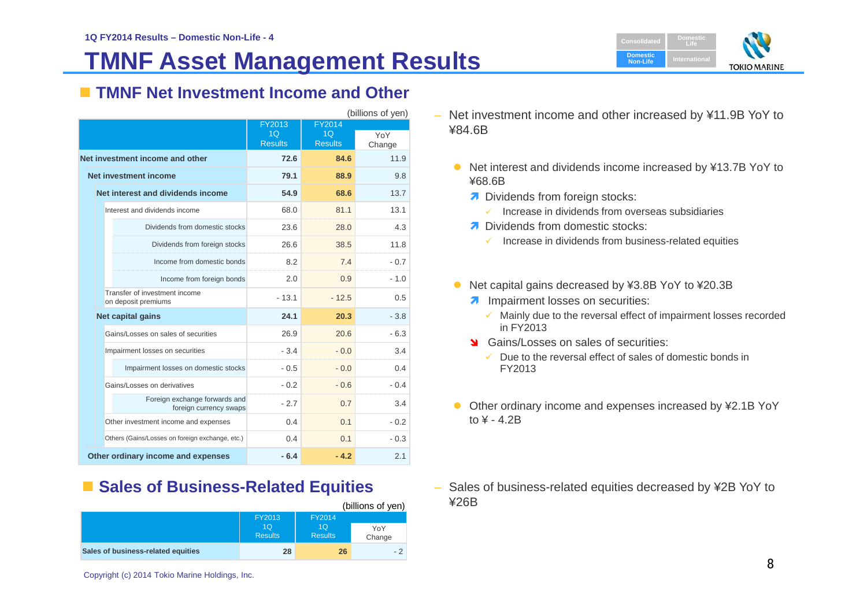# **TMNF Asset Management Results**



### **TMNF Net Investment Income and Other**

| (billions of yen)                                       |                |                |        |  |  |
|---------------------------------------------------------|----------------|----------------|--------|--|--|
|                                                         | FY2013         | FY2014         |        |  |  |
|                                                         | 1 <sub>O</sub> | 1 <sub>O</sub> | YoY    |  |  |
|                                                         | <b>Results</b> | <b>Results</b> | Change |  |  |
| Net investment income and other                         | 72.6           | 84.6           | 11.9   |  |  |
| Net investment income                                   | 79.1           | 88.9           | 9.8    |  |  |
| Net interest and dividends income                       | 54.9           | 68.6           | 13.7   |  |  |
| Interest and dividends income                           | 68.0           | 81.1           | 13.1   |  |  |
| Dividends from domestic stocks                          | 23.6           | 28.0           | 4.3    |  |  |
| Dividends from foreign stocks                           | 26.6           | 38.5           | 11.8   |  |  |
| Income from domestic bonds                              | 8.2            | 7.4            | $-0.7$ |  |  |
| Income from foreign bonds                               | 2.0            | 0.9            | $-1.0$ |  |  |
| Transfer of investment income<br>on deposit premiums    | $-13.1$        | $-12.5$        | 0.5    |  |  |
| Net capital gains                                       | 24.1           | 20.3           | $-3.8$ |  |  |
| Gains/Losses on sales of securities                     | 26.9           | 20.6           | $-6.3$ |  |  |
| Impairment losses on securities                         | $-3.4$         | $-0.0$         | 3.4    |  |  |
| Impairment losses on domestic stocks                    | $-0.5$         | $-0.0$         | 0.4    |  |  |
| Gains/Losses on derivatives                             | $-0.2$         | $-0.6$         | $-0.4$ |  |  |
| Foreign exchange forwards and<br>foreign currency swaps | $-2.7$         | 0.7            | 3.4    |  |  |
| Other investment income and expenses                    | 0.4            | 0.1            | $-0.2$ |  |  |
| Others (Gains/Losses on foreign exchange, etc.)         | 0.4            | 0.1            | $-0.3$ |  |  |
| Other ordinary income and expenses                      | $-6.4$         | $-4.2$         | 2.1    |  |  |

### **Example Sales of Business-Related Equities**

|                                    |                      |                                  | (billions of yen) |
|------------------------------------|----------------------|----------------------------------|-------------------|
|                                    | FY2013               | FY2014                           |                   |
|                                    | 1Q<br><b>Results</b> | 1 <sub>O</sub><br><b>Results</b> | YoY<br>Change     |
| Sales of business-related equities | 28                   | 26                               | $-2$              |

- Net investment income and other increased by ¥11.9B YoY to ¥84.6B
	- Net interest and dividends income increased by ¥13.7B YoY to ¥68.6B
		- Dividends from foreign stocks:
			- $\checkmark$  Increase in dividends from overseas subsidiaries
		- **7** Dividends from domestic stocks:
			- $\checkmark$  Increase in dividends from business-related equities
	- Net capital gains decreased by ¥3.8B YoY to ¥20.3B
		- **A** Impairment losses on securities:
			- $\checkmark$  Mainly due to the reversal effect of impairment losses recorded in FY2013
		- **Sains/Losses on sales of securities:** 
			- $\sqrt{\phantom{a}}$  Due to the reversal effect of sales of domestic bonds in FY2013
	- Other ordinary income and expenses increased by ¥2.1B YoY to  $4 - 4.2B$
- – Sales of business-related equities decreased by ¥2B YoY to ¥26B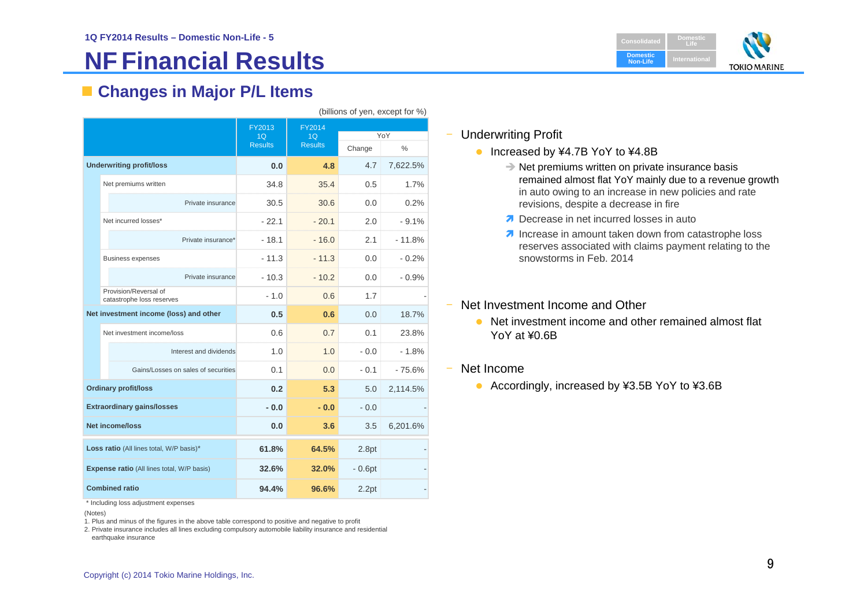# **NF Financial Results**

**DomesticConsolidatedLifeDomestic Non-LifeInternationalTOKIO MARINE** 

### **Changes in Major P/L Items**

|                                            |                                                    | FY2013         | FY2014         |          |               |  |
|--------------------------------------------|----------------------------------------------------|----------------|----------------|----------|---------------|--|
|                                            |                                                    | 1Q             | 1Q             |          | YoY           |  |
|                                            |                                                    | <b>Results</b> | <b>Results</b> | Change   | $\frac{0}{0}$ |  |
| <b>Underwriting profit/loss</b>            |                                                    | 0.0            | 4.8            | 4.7      | 7,622.5%      |  |
|                                            | Net premiums written                               | 34.8           | 35.4           | 0.5      | 1.7%          |  |
|                                            | Private insurance                                  | 30.5           | 30.6           | 0.0      | 0.2%          |  |
|                                            | Net incurred losses*                               | $-22.1$        | $-20.1$        | 2.0      | $-9.1%$       |  |
|                                            | Private insurance*                                 | $-18.1$        | $-16.0$        | 2.1      | $-11.8%$      |  |
|                                            | <b>Business expenses</b>                           | $-11.3$        | $-11.3$        | 0.0      | $-0.2%$       |  |
|                                            | Private insurance                                  | $-10.3$        | $-10.2$        | 0.0      | $-0.9%$       |  |
|                                            | Provision/Reversal of<br>catastrophe loss reserves | $-1.0$         | 0.6            | 1.7      |               |  |
|                                            | Net investment income (loss) and other             | 0.5            | 0.6            | 0.0      | 18.7%         |  |
|                                            | Net investment income/loss                         | 0.6            | 0.7            | 0.1      | 23.8%         |  |
|                                            | Interest and dividends                             | 1.0            | 1.0            | $-0.0$   | $-1.8%$       |  |
|                                            | Gains/Losses on sales of securities                | 0.1            | 0.0            | $-0.1$   | $-75.6%$      |  |
|                                            | <b>Ordinary profit/loss</b>                        | 0.2            | 5.3            | 5.0      | 2,114.5%      |  |
|                                            | <b>Extraordinary gains/losses</b>                  | $-0.0$         | $-0.0$         | $-0.0$   |               |  |
| <b>Net income/loss</b>                     |                                                    | 0.0            | 3.6            | 3.5      | 6,201.6%      |  |
| Loss ratio (All lines total, W/P basis)*   |                                                    | 61.8%          | 64.5%          | 2.8pt    |               |  |
| Expense ratio (All lines total, W/P basis) |                                                    | 32.6%          | 32.0%          | $-0.6pt$ |               |  |
|                                            | <b>Combined ratio</b>                              | 94.4%          | 96.6%          | 2.2pt    |               |  |

\* Including loss adjustment expenses

(Notes)

1. Plus and minus of the figures in the above table correspond to positive and negative to profit

2. Private insurance includes all lines excluding compulsory automobile liability insurance and residential earthquake insurance

#### ‒Underwriting Profit

- Increased by ¥4.7B YoY to ¥4.8B
	- $\rightarrow$  Net premiums written on private insurance basis remained almost flat YoY mainly due to a revenue growth in auto owing to an increase in new policies and rate revisions, despite a decrease in fire
	- Decrease in net incurred losses in auto
	- $\lambda$  Increase in amount taken down from catastrophe loss reserves associated with claims payment relating to the snowstorms in Feb. 2014
- Net Investment Income and Other
	- Net investment income and other remained almost flat YoY at ¥0.6B
- Net Income

‒

 $(hillione of van event for  $0/2$ )$ 

• Accordingly, increased by ¥3.5B YoY to ¥3.6B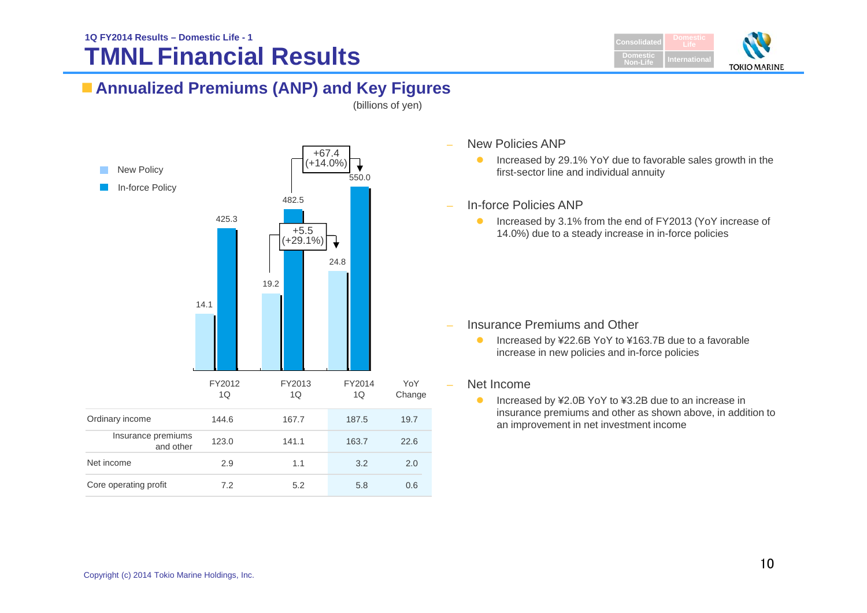# **TMNL Financial Results**



### **Annualized Premiums (ANP) and Key Figures**

(billions of yen)



- New Policies ANP
	- $\bullet$  Increased by 29.1% YoY due to favorable sales growth in the first-sector line and individual annuity
- In-force Policies ANP
	- $\bullet$  Increased by 3.1% from the end of FY2013 (YoY increase of 14.0%) due to a steady increase in in-force policies

- Insurance Premiums and Other
	- $\bullet$  Increased by ¥22.6B YoY to ¥163.7B due to a favorable increase in new policies and in-force policies

#### Net Income

 $\bullet$  Increased by ¥2.0B YoY to ¥3.2B due to an increase in insurance premiums and other as shown above, in addition to an improvement in net investment income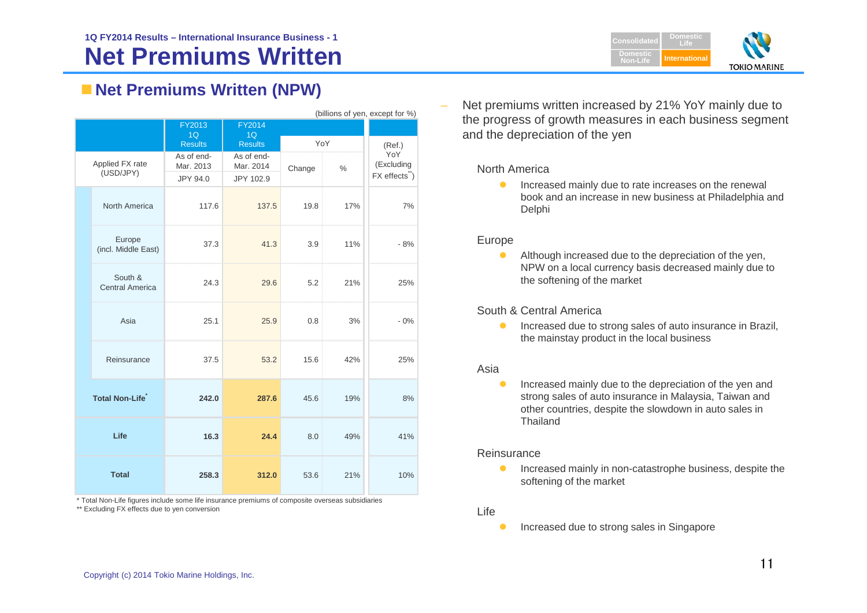

### **Net Premiums Written (NPW)**

|                                   | (billions of yen, except for %)   |                         |                         |        |      |                   |  |
|-----------------------------------|-----------------------------------|-------------------------|-------------------------|--------|------|-------------------|--|
|                                   |                                   | FY2013                  | FY2014                  |        |      |                   |  |
|                                   |                                   | 1Q                      | 1Q                      |        |      |                   |  |
|                                   |                                   | <b>Results</b>          | <b>Results</b>          | YoY    |      | (Ref.)            |  |
| Applied FX rate                   |                                   | As of end-<br>Mar. 2013 | As of end-<br>Mar. 2014 | Change | $\%$ | YoY<br>(Excluding |  |
| (USD/JPY)                         |                                   | JPY 94.0                | JPY 102.9               |        |      | FX effects")      |  |
|                                   | North America                     | 117.6                   | 137.5                   | 19.8   | 17%  | 7%                |  |
|                                   | Europe<br>(incl. Middle East)     | 37.3                    | 41.3                    | 3.9    | 11%  | $-8%$             |  |
|                                   | South &<br><b>Central America</b> | 24.3                    | 29.6                    | 5.2    | 21%  | 25%               |  |
|                                   | Asia                              | 25.1                    | 25.9                    | 0.8    | 3%   | $-0%$             |  |
|                                   | Reinsurance                       | 37.5                    | 53.2                    | 15.6   | 42%  | 25%               |  |
| <b>Total Non-Life<sup>*</sup></b> |                                   | 242.0                   | 287.6                   | 45.6   | 19%  | 8%                |  |
| Life                              |                                   | 16.3                    | 24.4                    | 8.0    | 49%  | 41%               |  |
| <b>Total</b>                      |                                   | 258.3                   | 312.0                   | 53.6   | 21%  | 10%               |  |

\* Total Non-Life figures include some life insurance premiums of composite overseas subsidiaries \*\* Excluding FX effects due to yen conversion

 Net premiums written increased by 21% YoY mainly due to the progress of growth measures in each business segment and the depreciation of the yen

#### North America

 $\bullet$  Increased mainly due to rate increases on the renewal book and an increase in new business at Philadelphia and Delphi

#### Europe

 $\bullet$  Although increased due to the depreciation of the yen, NPW on a local currency basis decreased mainly due to the softening of the market

#### South & Central America

 $\bullet$  Increased due to strong sales of auto insurance in Brazil, the mainstay product in the local business

#### Asia

 $\bullet$  Increased mainly due to the depreciation of the yen and strong sales of auto insurance in Malaysia, Taiwan and other countries, despite the slowdown in auto sales in Thailand

#### Reinsurance

- $\bullet$  Increased mainly in non-catastrophe business, despite the softening of the market
- Life
- $\bullet$ Increased due to strong sales in Singapore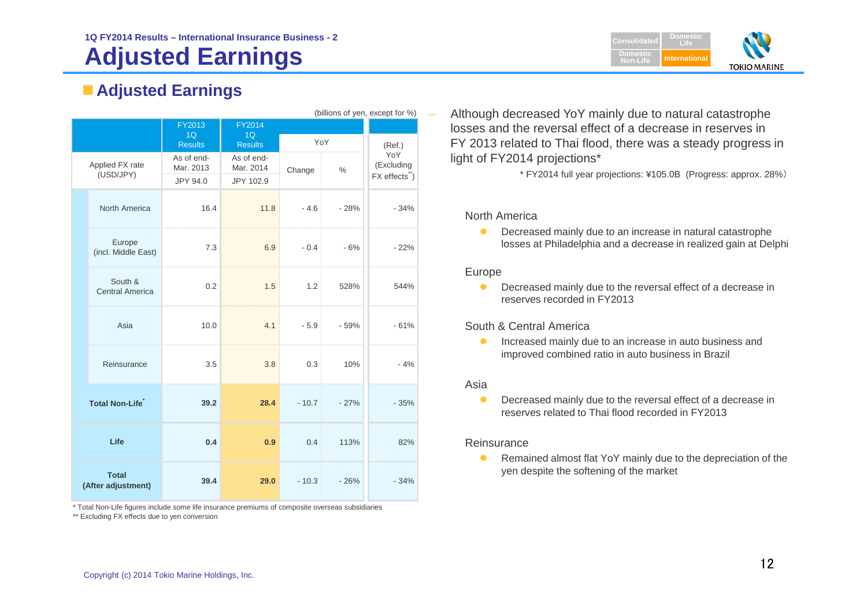# **Adjusted Earnings**

## **Adjusted Earnings**

| (billions of yen, except for %) |                                                                                                                 |                                                                                                    |                                                                                                    |                                          |                                                                                       |  |
|---------------------------------|-----------------------------------------------------------------------------------------------------------------|----------------------------------------------------------------------------------------------------|----------------------------------------------------------------------------------------------------|------------------------------------------|---------------------------------------------------------------------------------------|--|
|                                 | FY2013                                                                                                          | <b>FY2014</b>                                                                                      |                                                                                                    |                                          |                                                                                       |  |
|                                 | 1Q                                                                                                              | 1Q                                                                                                 |                                                                                                    |                                          |                                                                                       |  |
|                                 |                                                                                                                 |                                                                                                    |                                                                                                    |                                          | (Ref.)<br>YoY                                                                         |  |
|                                 |                                                                                                                 |                                                                                                    | Change                                                                                             |                                          | (Excluding                                                                            |  |
| (USD/JPY)                       |                                                                                                                 |                                                                                                    |                                                                                                    |                                          | FX effects")                                                                          |  |
|                                 |                                                                                                                 |                                                                                                    |                                                                                                    |                                          |                                                                                       |  |
| North America                   |                                                                                                                 |                                                                                                    |                                                                                                    |                                          |                                                                                       |  |
|                                 |                                                                                                                 |                                                                                                    |                                                                                                    |                                          | $-34%$                                                                                |  |
|                                 |                                                                                                                 |                                                                                                    |                                                                                                    |                                          |                                                                                       |  |
|                                 |                                                                                                                 |                                                                                                    |                                                                                                    |                                          |                                                                                       |  |
| (incl. Middle East)             |                                                                                                                 |                                                                                                    |                                                                                                    |                                          | $-22%$                                                                                |  |
|                                 |                                                                                                                 |                                                                                                    |                                                                                                    |                                          |                                                                                       |  |
| South &                         |                                                                                                                 |                                                                                                    |                                                                                                    |                                          |                                                                                       |  |
| <b>Central America</b>          |                                                                                                                 |                                                                                                    |                                                                                                    |                                          | 544%                                                                                  |  |
|                                 |                                                                                                                 |                                                                                                    |                                                                                                    |                                          |                                                                                       |  |
|                                 |                                                                                                                 |                                                                                                    |                                                                                                    |                                          |                                                                                       |  |
|                                 |                                                                                                                 |                                                                                                    |                                                                                                    |                                          | $-61%$                                                                                |  |
|                                 |                                                                                                                 |                                                                                                    |                                                                                                    |                                          |                                                                                       |  |
|                                 |                                                                                                                 |                                                                                                    |                                                                                                    |                                          | $-4%$                                                                                 |  |
|                                 |                                                                                                                 |                                                                                                    |                                                                                                    |                                          |                                                                                       |  |
|                                 |                                                                                                                 |                                                                                                    |                                                                                                    |                                          |                                                                                       |  |
|                                 |                                                                                                                 |                                                                                                    |                                                                                                    |                                          | $-35%$                                                                                |  |
|                                 |                                                                                                                 |                                                                                                    |                                                                                                    |                                          |                                                                                       |  |
|                                 |                                                                                                                 |                                                                                                    |                                                                                                    |                                          |                                                                                       |  |
| Life                            | 0.4                                                                                                             | 0.9                                                                                                | 0.4                                                                                                | 113%                                     | 82%                                                                                   |  |
|                                 |                                                                                                                 |                                                                                                    |                                                                                                    |                                          |                                                                                       |  |
|                                 |                                                                                                                 |                                                                                                    |                                                                                                    |                                          |                                                                                       |  |
|                                 | 39.4                                                                                                            | 29.0                                                                                               | $-10.3$                                                                                            | $-26%$                                   | $-34%$                                                                                |  |
|                                 |                                                                                                                 |                                                                                                    |                                                                                                    |                                          |                                                                                       |  |
|                                 | Applied FX rate<br>Europe<br>Asia<br>Reinsurance<br><b>Total Non-Life</b><br><b>Total</b><br>(After adjustment) | <b>Results</b><br>As of end-<br>Mar. 2013<br>JPY 94.0<br>16.4<br>7.3<br>0.2<br>10.0<br>3.5<br>39.2 | <b>Results</b><br>As of end-<br>Mar. 2014<br>JPY 102.9<br>11.8<br>6.9<br>1.5<br>4.1<br>3.8<br>28.4 | $-4.6$<br>$-0.4$<br>1.2<br>$-5.9$<br>0.3 | YoY<br>$\frac{0}{0}$<br>$-28%$<br>$-6%$<br>528%<br>$-59%$<br>10%<br>$-10.7$<br>$-27%$ |  |

\* Total Non-Life figures include some life insurance premiums of composite overseas subsidiaries

\*\* Excluding FX effects due to yen conversion

 Although decreased YoY mainly due to natural catastrophe losses and the reversal effect of a decrease in reserves inFY 2013 related to Thai flood, there was a steady progress in light of FY2014 projections\*

\* FY2014 full year projections: ¥105.0B (Progress: approx. 28%)

#### North America

 $\bullet$  Decreased mainly due to an increase in natural catastrophe losses at Philadelphia and a decrease in realized gain at Delphi

#### Europe

**O** Decreased mainly due to the reversal effect of a decrease in reserves recorded in FY2013

#### South & Central America

 $\bullet$  Increased mainly due to an increase in auto business and improved combined ratio in auto business in Brazil

#### Asia

 $\bullet$  Decreased mainly due to the reversal effect of a decrease in reserves related to Thai flood recorded in FY2013

#### Reinsurance

 $\bullet$  Remained almost flat YoY mainly due to the depreciation of the yen despite the softening of the market

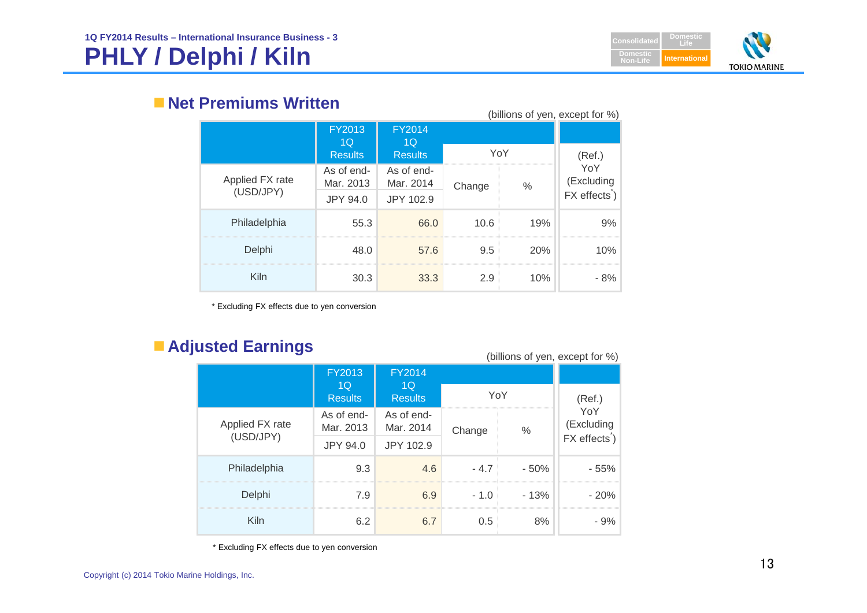# **PHLY / Delphi / Kiln**



### **Net Premiums Written**

| (billions of yen, except for %) |                         |                         |        |      |                                                |  |
|---------------------------------|-------------------------|-------------------------|--------|------|------------------------------------------------|--|
|                                 | <b>FY2013</b><br>1Q     | <b>FY2014</b><br>10     |        |      |                                                |  |
|                                 | <b>Results</b>          | <b>Results</b>          | YoY    |      | (Ref.)                                         |  |
| Applied FX rate                 | As of end-<br>Mar. 2013 | As of end-<br>Mar. 2014 | Change | $\%$ | YoY<br>(Excluding<br>FX effects <sup>*</sup> ) |  |
| (USD/JPY)                       | JPY 94.0                | JPY 102.9               |        |      |                                                |  |
| Philadelphia                    | 55.3                    | 66.0                    | 10.6   | 19%  | 9%                                             |  |
| Delphi                          | 48.0                    | 57.6                    | 9.5    | 20%  | 10%                                            |  |
| Kiln                            | 30.3                    | 33.3                    | 2.9    | 10%  | - 8%                                           |  |

\* Excluding FX effects due to yen conversion

### **Adjusted Earnings**

(billions of yen, except for %)

|  |                              | FY2013                  | <b>FY2014</b>                    |        |        |                   |
|--|------------------------------|-------------------------|----------------------------------|--------|--------|-------------------|
|  |                              | 1Q<br><b>Results</b>    | 1 <sub>O</sub><br><b>Results</b> | YoY    |        | (Ref.)            |
|  | Applied FX rate<br>(USD/JPY) | As of end-<br>Mar. 2013 | As of end-<br>Mar. 2014          | Change | $\%$   | YoY<br>(Excluding |
|  |                              | <b>JPY 94.0</b>         | JPY 102.9                        |        |        | FX effects)       |
|  | Philadelphia                 | 9.3                     | 4.6                              | $-4.7$ | $-50%$ | - 55%             |
|  | Delphi                       | 7.9                     | 6.9                              | $-1.0$ | $-13%$ | $-20%$            |
|  | Kiln                         | 6.2                     | 6.7                              | 0.5    | 8%     | - 9%              |

\* Excluding FX effects due to yen conversion